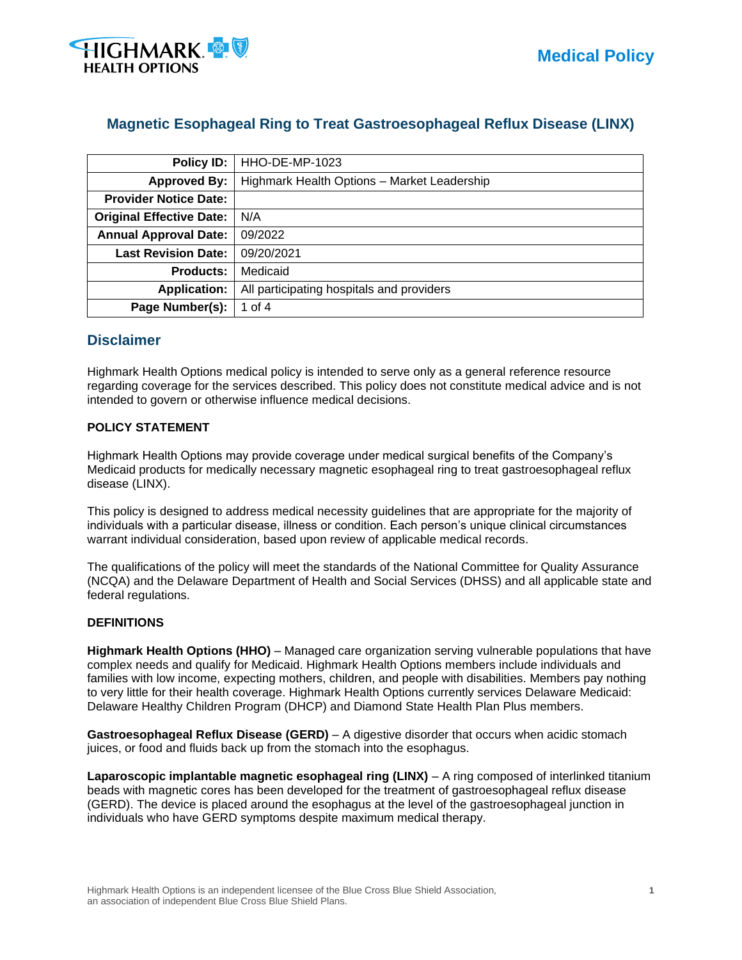

# **Magnetic Esophageal Ring to Treat Gastroesophageal Reflux Disease (LINX)**

| Policy ID:                      | HHO-DE-MP-1023                              |
|---------------------------------|---------------------------------------------|
| <b>Approved By:</b>             | Highmark Health Options - Market Leadership |
| <b>Provider Notice Date:</b>    |                                             |
| <b>Original Effective Date:</b> | N/A                                         |
| <b>Annual Approval Date:</b>    | 09/2022                                     |
| <b>Last Revision Date:</b>      | 09/20/2021                                  |
| <b>Products:</b>                | Medicaid                                    |
| <b>Application:</b>             | All participating hospitals and providers   |
| Page Number(s):                 | 1 of $4$                                    |

## **Disclaimer**

Highmark Health Options medical policy is intended to serve only as a general reference resource regarding coverage for the services described. This policy does not constitute medical advice and is not intended to govern or otherwise influence medical decisions.

### **POLICY STATEMENT**

Highmark Health Options may provide coverage under medical surgical benefits of the Company's Medicaid products for medically necessary magnetic esophageal ring to treat gastroesophageal reflux disease (LINX).

This policy is designed to address medical necessity guidelines that are appropriate for the majority of individuals with a particular disease, illness or condition. Each person's unique clinical circumstances warrant individual consideration, based upon review of applicable medical records.

The qualifications of the policy will meet the standards of the National Committee for Quality Assurance (NCQA) and the Delaware Department of Health and Social Services (DHSS) and all applicable state and federal regulations.

#### **DEFINITIONS**

**Highmark Health Options (HHO)** – Managed care organization serving vulnerable populations that have complex needs and qualify for Medicaid. Highmark Health Options members include individuals and families with low income, expecting mothers, children, and people with disabilities. Members pay nothing to very little for their health coverage. Highmark Health Options currently services Delaware Medicaid: Delaware Healthy Children Program (DHCP) and Diamond State Health Plan Plus members.

**Gastroesophageal Reflux Disease (GERD)** – A digestive disorder that occurs when acidic stomach juices, or food and fluids back up from the stomach into the esophagus.

**Laparoscopic implantable magnetic esophageal ring (LINX)** – A ring composed of interlinked titanium beads with magnetic cores has been developed for the treatment of gastroesophageal reflux disease (GERD). The device is placed around the esophagus at the level of the gastroesophageal junction in individuals who have GERD symptoms despite maximum medical therapy.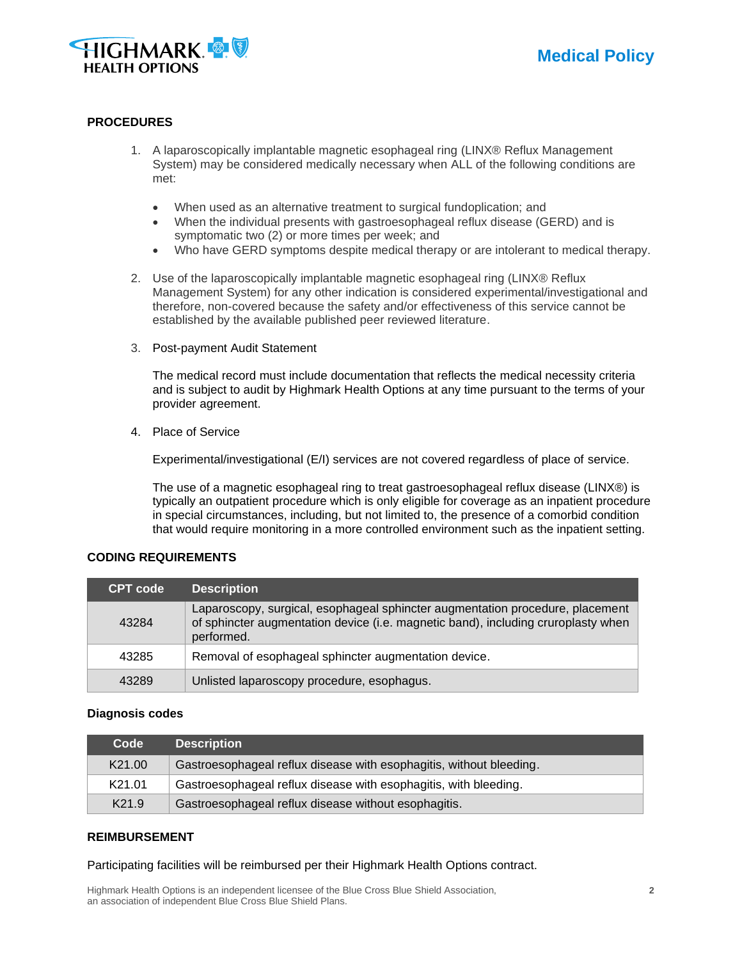

#### **PROCEDURES**

- 1. A laparoscopically implantable magnetic esophageal ring (LINX® Reflux Management System) may be considered medically necessary when ALL of the following conditions are met:
	- When used as an alternative treatment to surgical fundoplication; and
	- When the individual presents with gastroesophageal reflux disease (GERD) and is symptomatic two (2) or more times per week; and
	- Who have GERD symptoms despite medical therapy or are intolerant to medical therapy.
- 2. Use of the laparoscopically implantable magnetic esophageal ring (LINX® Reflux Management System) for any other indication is considered experimental/investigational and therefore, non-covered because the safety and/or effectiveness of this service cannot be established by the available published peer reviewed literature.
- 3. Post-payment Audit Statement

The medical record must include documentation that reflects the medical necessity criteria and is subject to audit by Highmark Health Options at any time pursuant to the terms of your provider agreement.

4. Place of Service

Experimental/investigational (E/I) services are not covered regardless of place of service.

The use of a magnetic esophageal ring to treat gastroesophageal reflux disease (LINX®) is typically an outpatient procedure which is only eligible for coverage as an inpatient procedure in special circumstances, including, but not limited to, the presence of a comorbid condition that would require monitoring in a more controlled environment such as the inpatient setting.

#### **CODING REQUIREMENTS**

| <b>CPT</b> code | <b>Description</b>                                                                                                                                                               |
|-----------------|----------------------------------------------------------------------------------------------------------------------------------------------------------------------------------|
| 43284           | Laparoscopy, surgical, esophageal sphincter augmentation procedure, placement<br>of sphincter augmentation device (i.e. magnetic band), including cruroplasty when<br>performed. |
| 43285           | Removal of esophageal sphincter augmentation device.                                                                                                                             |
| 43289           | Unlisted laparoscopy procedure, esophagus.                                                                                                                                       |

#### **Diagnosis codes**

| Code               | <b>Description</b>                                                  |
|--------------------|---------------------------------------------------------------------|
| K <sub>21.00</sub> | Gastroesophageal reflux disease with esophagitis, without bleeding. |
| K21.01             | Gastroesophageal reflux disease with esophagitis, with bleeding.    |
| K <sub>21.9</sub>  | Gastroesophageal reflux disease without esophagitis.                |

#### **REIMBURSEMENT**

Participating facilities will be reimbursed per their Highmark Health Options contract.

Highmark Health Options is an independent licensee of the Blue Cross Blue Shield Association, **2** an association of independent Blue Cross Blue Shield Plans.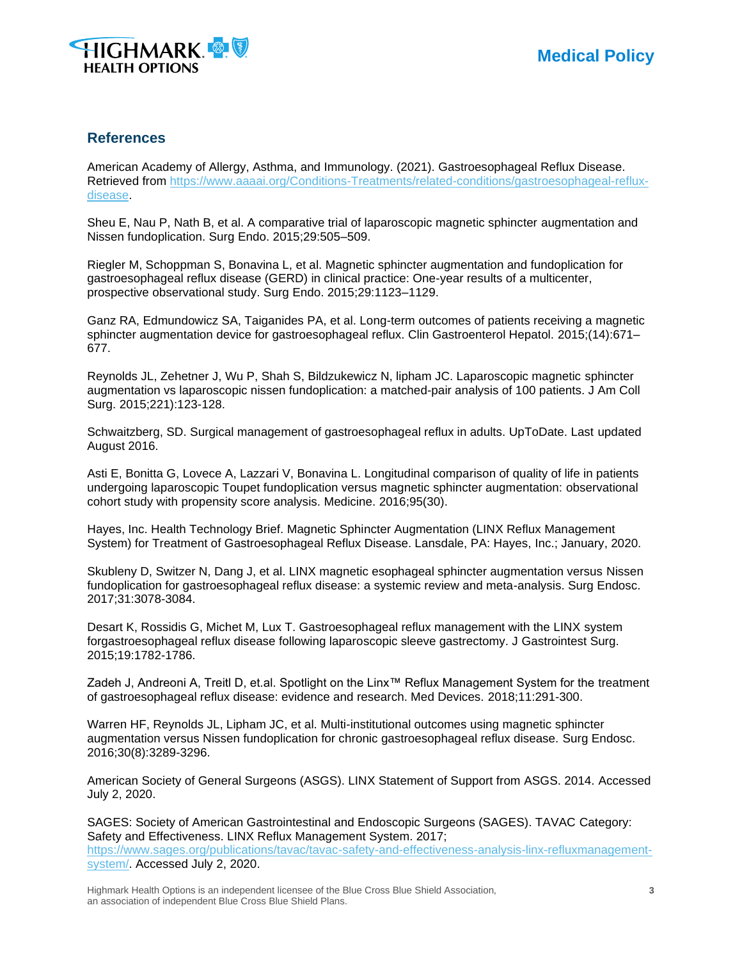

## **References**

American Academy of Allergy, Asthma, and Immunology. (2021). Gastroesophageal Reflux Disease. Retrieved from [https://www.aaaai.org/Conditions-Treatments/related-conditions/gastroesophageal-reflux](https://www.aaaai.org/Conditions-Treatments/related-conditions/gastroesophageal-reflux-disease)[disease.](https://www.aaaai.org/Conditions-Treatments/related-conditions/gastroesophageal-reflux-disease)

Sheu E, Nau P, Nath B, et al. A comparative trial of laparoscopic magnetic sphincter augmentation and Nissen fundoplication. Surg Endo. 2015;29:505–509.

Riegler M, Schoppman S, Bonavina L, et al. Magnetic sphincter augmentation and fundoplication for gastroesophageal reflux disease (GERD) in clinical practice: One-year results of a multicenter, prospective observational study. Surg Endo. 2015;29:1123–1129.

Ganz RA, Edmundowicz SA, Taiganides PA, et al. Long-term outcomes of patients receiving a magnetic sphincter augmentation device for gastroesophageal reflux. Clin Gastroenterol Hepatol. 2015;(14):671– 677.

Reynolds JL, Zehetner J, Wu P, Shah S, Bildzukewicz N, lipham JC. Laparoscopic magnetic sphincter augmentation vs laparoscopic nissen fundoplication: a matched-pair analysis of 100 patients. J Am Coll Surg. 2015;221):123-128.

Schwaitzberg, SD. Surgical management of gastroesophageal reflux in adults. UpToDate. Last updated August 2016.

Asti E, Bonitta G, Lovece A, Lazzari V, Bonavina L. Longitudinal comparison of quality of life in patients undergoing laparoscopic Toupet fundoplication versus magnetic sphincter augmentation: observational cohort study with propensity score analysis. Medicine. 2016;95(30).

Hayes, Inc. Health Technology Brief. Magnetic Sphincter Augmentation (LINX Reflux Management System) for Treatment of Gastroesophageal Reflux Disease. Lansdale, PA: Hayes, Inc.; January, 2020.

Skubleny D, Switzer N, Dang J, et al. LINX magnetic esophageal sphincter augmentation versus Nissen fundoplication for gastroesophageal reflux disease: a systemic review and meta-analysis. Surg Endosc. 2017;31:3078-3084.

Desart K, Rossidis G, Michet M, Lux T. Gastroesophageal reflux management with the LINX system forgastroesophageal reflux disease following laparoscopic sleeve gastrectomy. J Gastrointest Surg. 2015;19:1782-1786.

Zadeh J, Andreoni A, Treitl D, et.al. Spotlight on the Linx™ Reflux Management System for the treatment of gastroesophageal reflux disease: evidence and research. Med Devices. 2018;11:291-300.

Warren HF, Reynolds JL, Lipham JC, et al. Multi-institutional outcomes using magnetic sphincter augmentation versus Nissen fundoplication for chronic gastroesophageal reflux disease. Surg Endosc. 2016;30(8):3289-3296.

American Society of General Surgeons (ASGS). LINX Statement of Support from ASGS. 2014. Accessed July 2, 2020.

SAGES: Society of American Gastrointestinal and Endoscopic Surgeons (SAGES). TAVAC Category: Safety and Effectiveness. LINX Reflux Management System. 2017; [https://www.sages.org/publications/tavac/tavac-safety-and-effectiveness-analysis-linx-refluxmanagement](https://www.sages.org/publications/tavac/tavac-safety-and-effectiveness-analysis-linx-refluxmanagement-system/)[system/.](https://www.sages.org/publications/tavac/tavac-safety-and-effectiveness-analysis-linx-refluxmanagement-system/) Accessed July 2, 2020.

Highmark Health Options is an independent licensee of the Blue Cross Blue Shield Association, **3** an association of independent Blue Cross Blue Shield Plans.